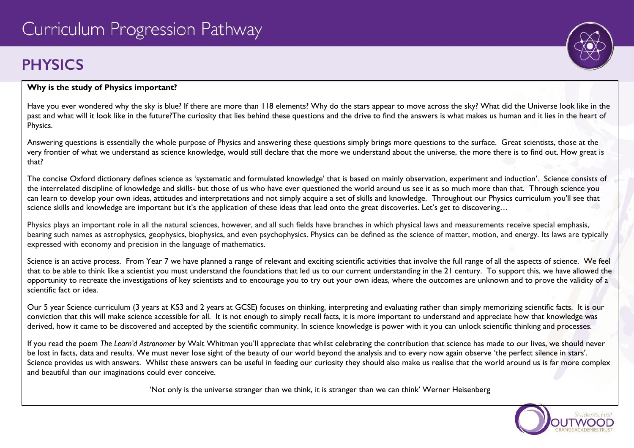# **PHYSICS**



#### **Why is the study of Physics important?**

Have you ever wondered why the sky is blue? If there are more than 118 elements? Why do the stars appear to move across the sky? What did the Universe look like in the past and what will it look like in the future?The curiosity that lies behind these questions and the drive to find the answers is what makes us human and it lies in the heart of Physics.

Answering questions is essentially the whole purpose of Physics and answering these questions simply brings more questions to the surface. Great scientists, those at the very frontier of what we understand as science knowledge, would still declare that the more we understand about the universe, the more there is to find out. How great is that?

The concise Oxford dictionary defines science as 'systematic and formulated knowledge' that is based on mainly observation, experiment and induction'. Science consists of the interrelated discipline of knowledge and skills- but those of us who have ever questioned the world around us see it as so much more than that. Through science you can learn to develop your own ideas, attitudes and interpretations and not simply acquire a set of skills and knowledge. Throughout our Physics curriculum you'll see that science skills and knowledge are important but it's the application of these ideas that lead onto the great discoveries. Let's get to discovering...

Physics plays an important role in all the natural sciences, however, and all such fields have branches in which physical laws and measurements receive special emphasis, bearing such names as astrophysics, geophysics, biophysics, and even psychophysics. Physics can be defined as the science of matter, motion, and energy. Its laws are typically expressed with economy and precision in the language of mathematics.

Science is an active process. From Year 7 we have planned a range of relevant and exciting scientific activities that involve the full range of all the aspects of science. We feel that to be able to think like a scientist you must understand the foundations that led us to our current understanding in the 21 century. To support this, we have allowed the opportunity to recreate the investigations of key scientists and to encourage you to try out your own ideas, where the outcomes are unknown and to prove the validity of a scientific fact or idea.

Our 5 year Science curriculum (3 years at KS3 and 2 years at GCSE) focuses on thinking, interpreting and evaluating rather than simply memorizing scientific facts. It is our conviction that this will make science accessible for all. It is not enough to simply recall facts, it is more important to understand and appreciate how that knowledge was derived, how it came to be discovered and accepted by the scientific community. In science knowledge is power with it you can unlock scientific thinking and processes.

If you read the poem *The Learn'd Astronomer* by Walt Whitman you'll appreciate that whilst celebrating the contribution that science has made to our lives, we should never be lost in facts, data and results. We must never lose sight of the beauty of our world beyond the analysis and to every now again observe 'the perfect silence in stars'. Science provides us with answers. Whilst these answers can be useful in feeding our curiosity they should also make us realise that the world around us is far more complex and beautiful than our imaginations could ever conceive.

'Not only is the universe stranger than we think, it is stranger than we can think' Werner Heisenberg

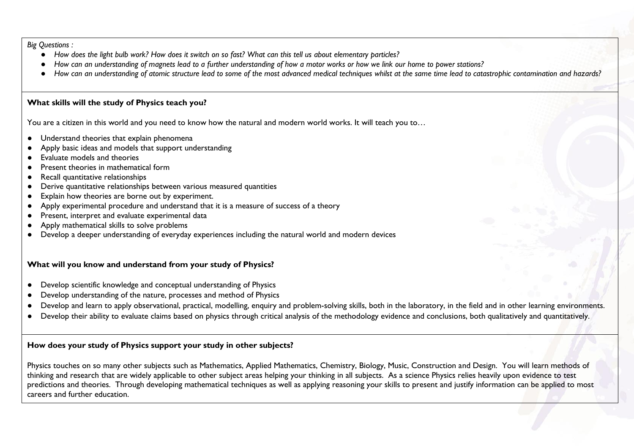*Big Questions :* 

- *How does the light bulb work? How does it switch on so fast? What can this tell us about elementary particles?*
- *How can an understanding of magnets lead to a further understanding of how a motor works or how we link our home to power stations?*
- How can an understanding of atomic structure lead to some of the most advanced medical techniques whilst at the same time lead to catastrophic contamination and hazards?

#### **What skills will the study of Physics teach you?**

You are a citizen in this world and you need to know how the natural and modern world works. It will teach you to...

- Understand theories that explain phenomena
- Apply basic ideas and models that support understanding
- Evaluate models and theories
- Present theories in mathematical form
- Recall quantitative relationships
- Derive quantitative relationships between various measured quantities
- Explain how theories are borne out by experiment.
- Apply experimental procedure and understand that it is a measure of success of a theory
- Present, interpret and evaluate experimental data
- Apply mathematical skills to solve problems
- Develop a deeper understanding of everyday experiences including the natural world and modern devices

## **What will you know and understand from your study of Physics?**

- Develop scientific knowledge and conceptual understanding of Physics
- Develop understanding of the nature, processes and method of Physics
- Develop and learn to apply observational, practical, modelling, enquiry and problem-solving skills, both in the laboratory, in the field and in other learning environments.
- Develop their ability to evaluate claims based on physics through critical analysis of the methodology evidence and conclusions, both qualitatively and quantitatively.

## **How does your study of Physics support your study in other subjects?**

Physics touches on so many other subjects such as Mathematics, Applied Mathematics, Chemistry, Biology, Music, Construction and Design. You will learn methods of thinking and research that are widely applicable to other subject areas helping your thinking in all subjects. As a science Physics relies heavily upon evidence to test predictions and theories. Through developing mathematical techniques as well as applying reasoning your skills to present and justify information can be applied to most careers and further education.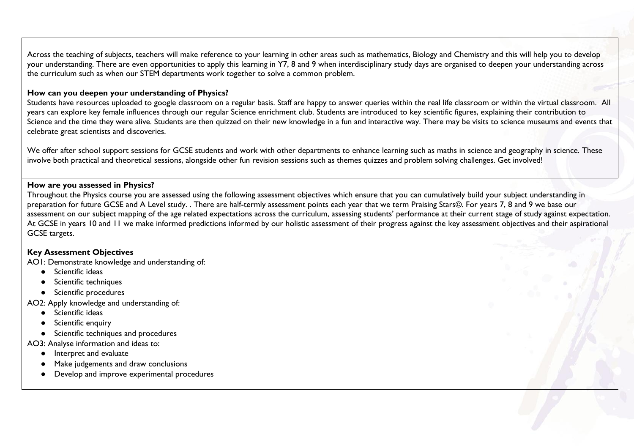Across the teaching of subjects, teachers will make reference to your learning in other areas such as mathematics, Biology and Chemistry and this will help you to develop your understanding. There are even opportunities to apply this learning in Y7, 8 and 9 when interdisciplinary study days are organised to deepen your understanding across the curriculum such as when our STEM departments work together to solve a common problem.

#### **How can you deepen your understanding of Physics?**

Students have resources uploaded to google classroom on a regular basis. Staff are happy to answer queries within the real life classroom or within the virtual classroom. All years can explore key female influences through our regular Science enrichment club. Students are introduced to key scientific figures, explaining their contribution to Science and the time they were alive. Students are then quizzed on their new knowledge in a fun and interactive way. There may be visits to science museums and events that celebrate great scientists and discoveries.

We offer after school support sessions for GCSE students and work with other departments to enhance learning such as maths in science and geography in science. These involve both practical and theoretical sessions, alongside other fun revision sessions such as themes quizzes and problem solving challenges. Get involved!

#### **How are you assessed in Physics?**

Throughout the Physics course you are assessed using the following assessment objectives which ensure that you can cumulatively build your subject understanding in preparation for future GCSE and A Level study. . There are half-termly assessment points each year that we term Praising Stars©. For years 7, 8 and 9 we base our assessment on our subject mapping of the age related expectations across the curriculum, assessing students' performance at their current stage of study against expectation. At GCSE in years 10 and 11 we make informed predictions informed by our holistic assessment of their progress against the key assessment objectives and their aspirational GCSE targets.

#### **Key Assessment Objectives**

AO1: Demonstrate knowledge and understanding of:

- Scientific ideas
- Scientific techniques
- Scientific procedures

AO2: Apply knowledge and understanding of:

- Scientific ideas
- Scientific enquiry
- Scientific techniques and procedures

AO3: Analyse information and ideas to:

- Interpret and evaluate
- Make judgements and draw conclusions
- Develop and improve experimental procedures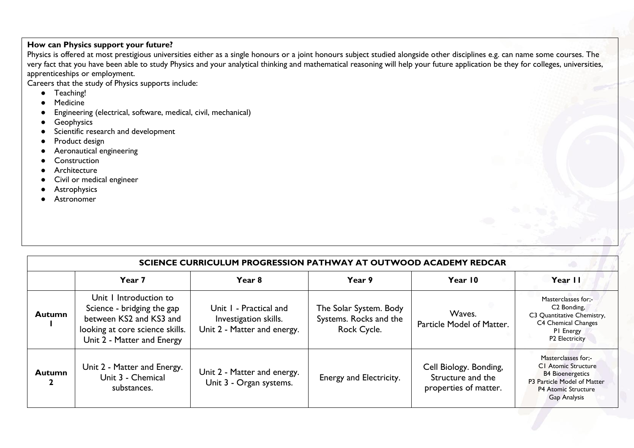## **How can Physics support your future?**

Physics is offered at most prestigious universities either as a single honours or a joint honours subject studied alongside other disciplines e.g. can name some courses. The very fact that you have been able to study Physics and your analytical thinking and mathematical reasoning will help your future application be they for colleges, universities, apprenticeships or employment.

Careers that the study of Physics supports include:

- Teaching!
- Medicine
- Engineering (electrical, software, medical, civil, mechanical)
- Geophysics
- Scientific research and development
- Product design
- Aeronautical engineering
- Construction
- Architecture
- Civil or medical engineer
- **•** Astrophysics
- Astronomer

| SCIENCE CURRICULUM PROGRESSION PATHWAY AT OUTWOOD ACADEMY REDCAR |                                                                                                                                                  |                                                                                |                                                                 |                                                                      |                                                                                                                                                           |  |  |  |
|------------------------------------------------------------------|--------------------------------------------------------------------------------------------------------------------------------------------------|--------------------------------------------------------------------------------|-----------------------------------------------------------------|----------------------------------------------------------------------|-----------------------------------------------------------------------------------------------------------------------------------------------------------|--|--|--|
|                                                                  | Year 7                                                                                                                                           | Year 8                                                                         | Year 9                                                          | Year 10                                                              | Year II                                                                                                                                                   |  |  |  |
| <b>Autumn</b>                                                    | Unit I Introduction to<br>Science - bridging the gap<br>between KS2 and KS3 and<br>looking at core science skills.<br>Unit 2 - Matter and Energy | Unit I - Practical and<br>Investigation skills.<br>Unit 2 - Matter and energy. | The Solar System. Body<br>Systems. Rocks and the<br>Rock Cycle. | Waves.<br>Particle Model of Matter.                                  | Masterclasses for;-<br>C <sub>2</sub> Bonding,<br>C3 Quantitative Chemistry,<br>C4 Chemical Changes<br>PI Energy<br>P2 Electricity                        |  |  |  |
| <b>Autumn</b>                                                    | Unit 2 - Matter and Energy.<br>Unit 3 - Chemical<br>substances.                                                                                  | Unit 2 - Matter and energy.<br>Unit 3 - Organ systems.                         | Energy and Electricity.                                         | Cell Biology. Bonding,<br>Structure and the<br>properties of matter. | Masterclasses for:-<br><b>CI</b> Atomic Structure<br><b>B4 Bioenergetics</b><br>P3 Particle Model of Matter<br><b>P4 Atomic Structure</b><br>Gap Analysis |  |  |  |